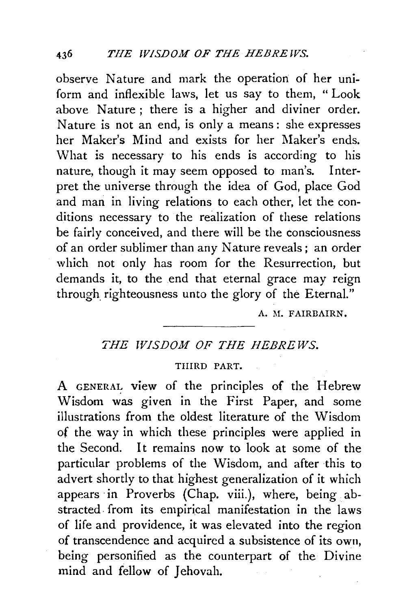observe Nature and mark the operation of her uniform and inflexible laws, let us say to them, "Look above Nature ; there is a higher and diviner order. Nature is not an end, is only a means : she expresses her Maker's Mind and exists for her Maker's ends. What is necessary to his ends is according to his nature, though it may seem opposed to man's. Interpret the universe through the idea of God, place God and man in living relations to each other, let the conditions necessary to the realization of these relations be fairly conceived, and there will be the consciousness of an order sublimer than any Nature reveals ; an order which not only has room for the Resurrection, but demands it, to the end that eternal grace may reign through righteousness unto the glory of the Eternal."

A. M. FAIRBAIRN.

## THE **WISDOM OF THE HEBREWS**.

## THIRD PART.

A GENERAl: view of the principles of the Hebrew Wisdom was given in the First Paper, and some illustrations from the oldest literature of the Wisdom of the way in which these principles were applied in the Second. It remains now to look at some of the particular problems of the Wisdom, and after this to advert shortly to that highest generalization of it which appears in Proverbs (Chap. viii.), where, being abstracted. from its empirical manifestation in the laws of life and providence, it was elevated into the region of transcendence and acquired a subsistence of its own, being personified as the counterpart of the Divine mind and fellow of Jehovah.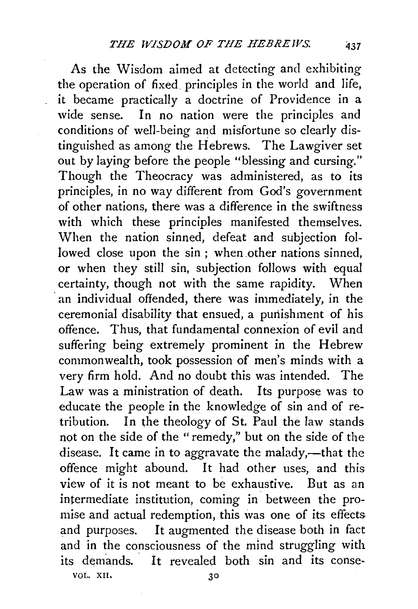As the Wisdom aimed at detecting and exhibiting the operation of fixed principles in the world and life, it became practically a doctrine of Providence in a wide sense. In no nation were the principles and conditions of well-being and misfortune so clearly distinguished as among the Hebrews. The Lawgiver set out by laying before the people "blessing and cursing." Though the Theocracy was administered, as to its principles, in no way different from God's government of other nations, there was a difference in the swiftness with which these principles manifested themselves. When the nation sinned, defeat and subjection followed close upon the sin ; when other nations sinned, or when they still sin, subjection follows with equal certainty, though not with the same rapidity. When an individual offended, there was immediately, in the ceremonial disability that ensued, a punishment of his offence. Thus, that fundamental connexion of evil and suffering being extremely prominent in the Hebrew commonwealth, took possession of men's minds with a very firm hold. And no doubt this was intended. The Law was a ministration of death. Its purpose was to educate the people in the knowledge of sin and of retribution. In the theology of St. Paul the law stands not on the side of the "remedy," but on the side of the disease. It came in to aggravate the malady,-that the offence might abound. It had other uses, and this view of it is not meant to be exhaustive. But as an intermediate institution, coming in between the promise and actual redemption, this was one of its effects and purposes. It augmented the disease both in fact and in the consciousness of the mind struggling with its demands. It revealed both sin and its conse-VOL. XII,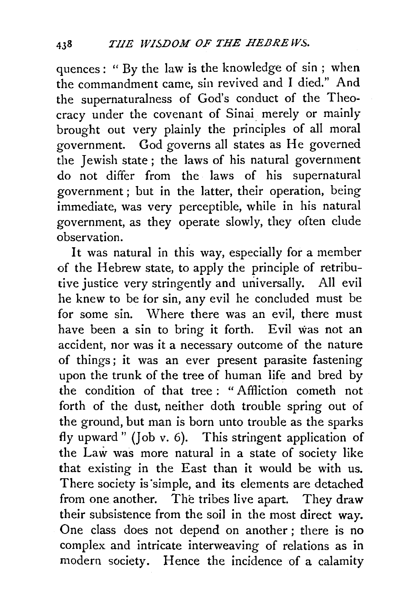quences: " By the law is the knowledge of sin ; when the commandment came, sin revived and I died." And the supernaturalness of God's conduct of the Theocracy under the covenant of Sinai merely or mainly brought out very plainly the principles of all moral government. God governs all states as He governed the Jewish state ; the laws of his natural government do not differ from the laws of his supernatural government ; but in the latter, their operation, being immediate, was very perceptible, while in his natural government, as they operate slowly, they often elude observation.

It was natural in this way, especially for a member of the Hebrew state, to apply the principle of retributive justice very stringently and universally. All evil he knew to be for sin, any evil he concluded must be for some sin. Where there was an evil, there must have been a sin to bring it forth. Evil was not an accident, nor was it a necessary outcome of the nature of things; it was an ever present parasite fastening upon the trunk of the tree of human life and bred by the condition of that tree : " Affliction cometh not forth of the dust, neither doth trouble spring out of the ground, but man is born unto trouble as the sparks fly upward" (Job v. 6). This stringent application of the Law was more natural in a state of society like that existing in the East than it would be with us. There society is 'simple, and its elements are detached from one another. The tribes live apart. They draw their subsistence from the soil in the most direct way. One class does not depend on another ; there is no complex and intricate interweaving of relations as in modern society. Hence the incidence of a calamity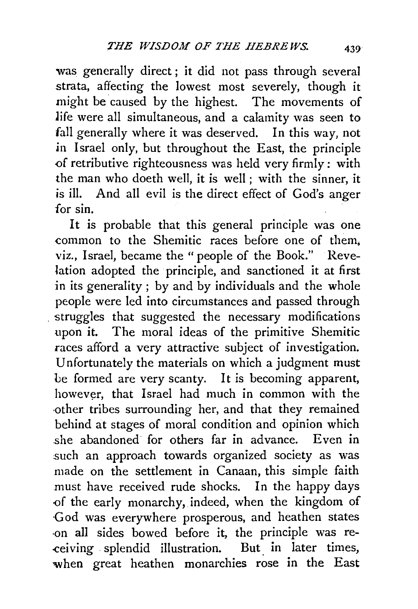was generally direct ; it did not pass through several strata, affecting the lowest most severely, though it might be caused by the highest. The movements of life were all simultaneous, and a calamity was seen to fall generally where it was deserved. In this way, not .in Israel only, but throughout the East, the principle .of retributive righteousness was held very firmly: with the man who doeth well, it is well; with the sinner, it is ill. And all evil is the direct effect of God's anger for sin.

It is probable that this general principle was one common to the Shemitic races before one of them. viz., Israel, became the "people of the Book." Revelation adopted the principle, and sanctioned it at first in its generality ; by and by individuals and the whole people were led into circumstances and passed through struggles that suggested the necessary modifications upon it. The moral ideas of the primitive Shemitic races afford a very attractive subject of investigation. Unfortunately the materials on which a judgment must be formed are very scanty. It is becoming apparent, however, that Israel had much in common with the ·other tribes surrounding her, and that they remained behind at stages of moral condition and opinion which she abandoned for others far in advance. Even in such an approach towards organized society as was made on the settlement in Canaan, this simple faith must have received rude shocks. In the happy days -of the early monarchy, indeed, when the kingdom of -God was everywhere prosperous, and heathen states -on all sides bowed before it, the principle was re- -ceiving splendid illustration. But. in later times, when great heathen monarchies rose in the East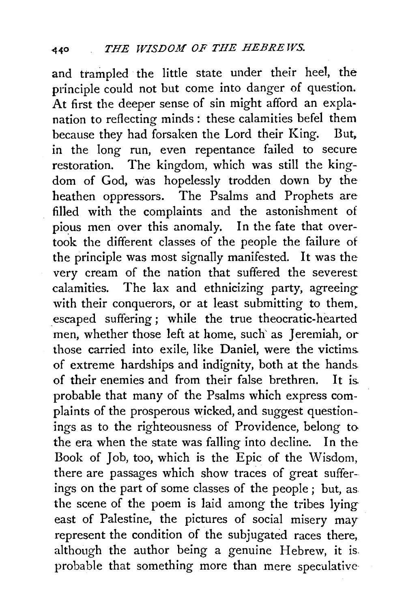and trampled the little state under their heel, the principle could not but come into danger of question. At first the deeper sense of sin might afford an explanation to reflecting minds : these calamities befel them because they had forsaken the Lord their King. But, in the long run, even repentance failed to secure restoration. The kingdom, which was still the kingdom of God, was hopelessly trodden down by the heathen oppressors. The Psalms and Prophets are filled with the complaints and the astonishment of pious men over this anomaly. In the fate that overtook the different classes of the people the failure of the principle was most signally manifested. It was the very cream of the nation that suffered the severest calamities. The lax and ethnicizing party, agreeing with their conquerors, or at least submitting to them. . escaped suffering ; while the true theocratic-hearted men, whether those left at home, such' as Jeremiah, or those carried into exile, like Daniel, were the victims. of extreme hardships and indignity, both at the hands. of their enemies and from their false brethren. It is. probable that many of the Psalms which express complaints of the prosperous wicked, and suggest questionings as to the righteousness of Providence, belong to the era when the state was falling into decline. In the Book of Job, too, which is the Epic of the Wisdom, there are passages which show traces of great sufferings on the part of some classes of the people ; but, as the scene of the poem is laid among the tribes lying east of Palestine, the pictures of social misery may represent the condition of the subjugated races there, although the author being a genuine Hebrew, it is. probable that something more than mere speculative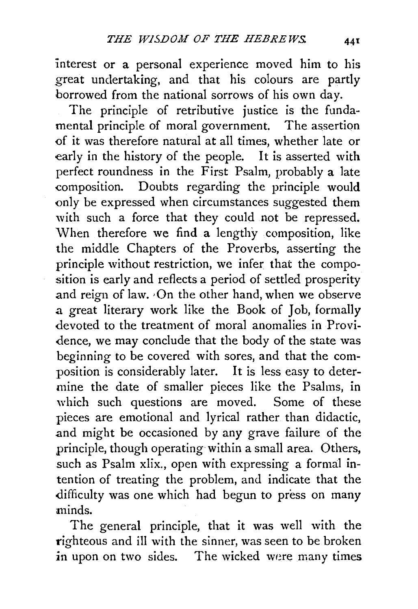interest or a personal experience moved him to his great undertaking, and that his colours are partly borrowed from the national sorrows of his own day.

The principle of retributive justice is the fundamental principle of moral government. The assertion -of it was therefore natural at all times, whether late or early in the history of the people. It is asserted with perfect roundness in the First Psalm, probably a late composition. Doubts regarding the principle would only be expressed when circumstances suggested them with such a force that they could not be repressed. When therefore we find a lengthy composition, like the middle Chapters of the Proverbs, asserting the principle without restriction, we infer that the composition is early and reflects a period of settled prosperity and reign of law. On the other hand, when we observe a great literary work like the Book of Job, formally devoted to the treatment of moral anomalies in Providence, we may conclude that the body of the state was beginning to be covered with sores, and that the composition is considerably later. It is less easy to determine the date of smaller pieces like the Psalms, in which such questions are moved. Some of these pieces are emotional and lyrical rather than didactic, .and might be occasioned by any grave failure of the principle, though operating within a small area. Others, such as Psalm xlix., open with expressing a formal intention of treating the problem, and indicate that the difficulty was one which had begun to press on many minds.

The general principle, that it was well with the righteous and ill with the sinner, was seen to be broken in upon on two sides. The wicked were many times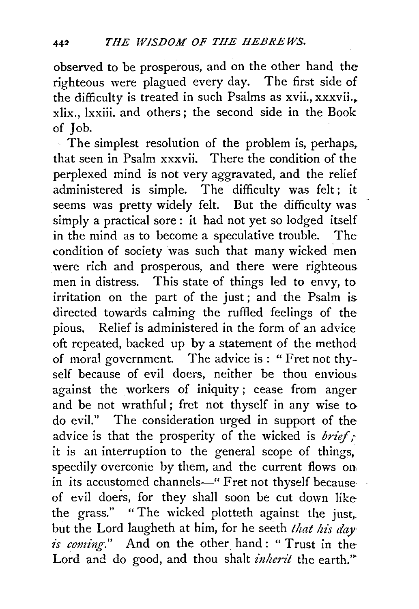observed to be prosperous, and on the other hand the righteous were plagued every day. The first side of the difficulty is treated in such Psalms as xvii., xxxvii... xlix., lxxiii. and others; the second side in the Book of Job.

The simplest resolution of the problem is, perhaps, that seen in Psalm xxxvii. There the condition of the perplexed mind is not very aggravated, and the relief administered is simple. The difficulty was felt; it seems was pretty widely felt. But the difficulty was simply a practical sore : it had not yet so lodged itself in the mind as to become a speculative trouble. Thecondition of society was such that many wicked men were rich and prosperous, and there were righteous. men in distress. This state of things led to envy, to irritation on the part of the just; and the Psalm is. directed towards calming the ruffled feelings of the pious. Relief is administered in the form of an advice oft repeated, backed up by a statement of the method of moral government. The advice is : "Fret not thyself because of evil doers, neither be thou envious. against the workers of iniquity ; cease from anger and be not wrathful; fret not thyself in any wise to do evil." The consideration urged in support of the advice is that the prosperity of the wicked is *brief*: it is an interruption to the general scope of things, speedily overconie by them, and the current flows on. in its accustomed channels-" Fret not thyself because of evil doers, for they shall soon be cut down like the grass." "The wicked plotteth against the just,. but the Lord laugheth at him, for he seeth *that his day is coming.*" And on the other hand: "Trust in the Lord and do good, and thou shalt *inherit* the earth."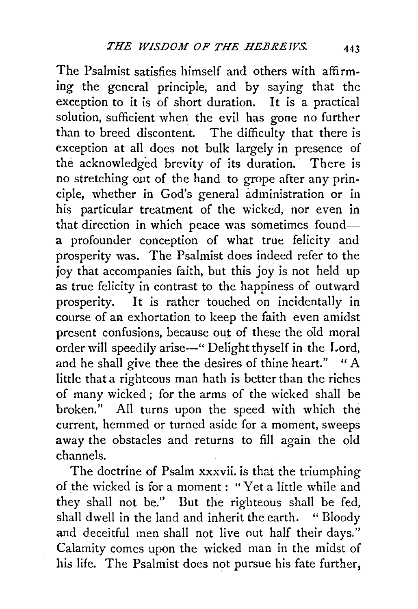The Psalmist satisfies himself and others with affirming the general principle, and by saying that the exception to it is of short duration. It is a practical solution, sufficient when the evil has gone no further than to breed discontent. The difficulty that there is exception at all does not bulk largely in presence of the acknowledged brevity of its duration. There is no stretching out of the hand to grope after any principle, whether in God's general administration or in his particular treatment of the wicked, nor even in that direction in which peace was sometimes founda profounder conception of what true felicity and prosperity was. The Psalmist does indeed refer to the joy that accompanies faith, but this joy is not held up as true felicity in contrast to the happiness of outward prosperity. It is rather touched on incidentally in course of an exhortation to keep the faith even amidst present confusions, because out of these the old moral order will speedily arise—" Delight thyself in the Lord, and he shall give thee the desires of thine heart." " A little that a righteous man hath is better than the riches of many wicked ; for the arms of the wicked shall be broken." All turns upon the speed with which the current, hemmed or turned aside for a moment, sweeps away the obstacles and returns to fill again the old channels.

The doctrine of Psalm xxxvii. is that the triumphing of the wicked is for a moment : "Yet a little while and they shall not be." Dut the righteous shall be fed, shall dwell in the land and inherit the earth. "Bloody and deceitful men shall not live *nut* half their days." Calamity comes upon the wicked man in the midst of his life. The Psalmist does not pursue his fate further,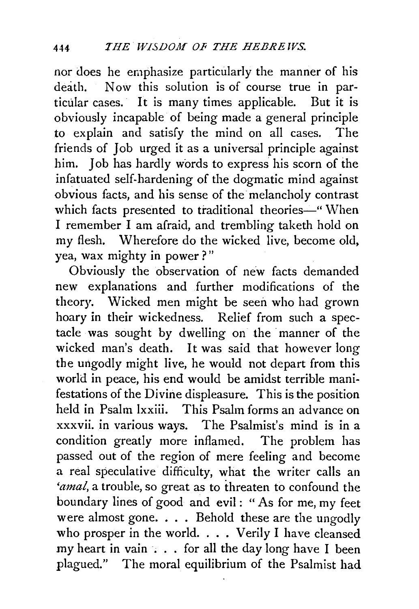nor does he emphasize particularly the manner of his death. Now this solution is of course true in particular cases. It is many times applicable. But it is obviously incapable of being made a general principle to explain and satisfy the mind on all cases. The friends of Job urged it as a universal principle against him. Job has hardly words to express his scorn of the infatuated self-hardening of the dogmatic mind against obvious facts, and his sense of the melancholy contrast which facts presented to traditional theories-" When I remember I am afraid, and trembling taketh hold on my flesh. Wherefore do the wicked live, become old. yea, wax mighty in power?"

Obviously the observation of new facts demanded new explanations and further modifications of the theory. Wicked men might be seen who had grown hoary in their wickedness. Relief from such a spectacle was sought by dwelling on the manner of the wicked man's death. It was said that however long the ungodly might live, he would not depart from this world in peace, his end would be amidst terrible manifestations of the Divine displeasure. This is the position held in Psalm lxxiii. This Psalm forms an advance on xxxvii. in various ways. The Psalmist's mind is in a condition greatly more inflamed. The problem has passed out of the region of mere feeling and become a real speculative difficulty, what the writer calls an *'amal*, a trouble, so great as to threaten to confound the boundary lines of good and evil : " As for me, my feet were almost gone.  $\ldots$ . Behold these are the ungodly who prosper in the world.  $\ldots$  Verily I have cleansed my heart in vain ... for all the day long have I been plagued." The moral equilibrium of the Psalmist had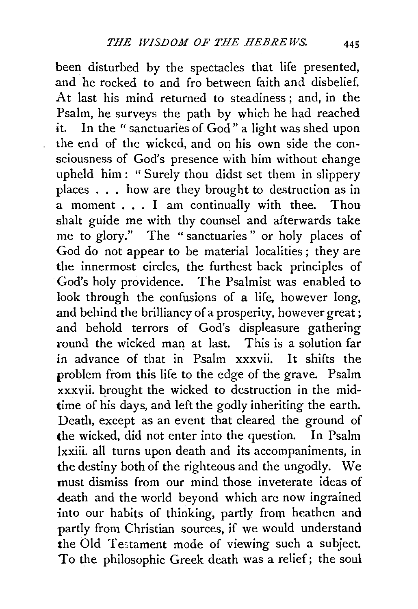been disturbed by the spectacles that life presented, and he rocked to and fro between faith and disbelief. At last his mind returned to steadiness; and, in the Psalm, he surveys the path by which he had reached it. In the "sanctuaries of God" a light was shed upon the end of the wicked, and on his own side the consciousness of God's presence with him without change upheld him: "Surely thou didst set them in slippery places ... how are they brought to destruction as in a moment . . . I am continually with thee. Thou shalt guide me with thy counsel and afterwards take me to glory." The " sanctuaries " or holy places of God do not appear to be material localities ; they are the innermost circles, the furthest back principles of God's holy providence. The Psalmist was enabled to look through the confusions of a life, however long, and behind the brilliancy of a prosperity, however great ; and behold terrors of God's displeasure gathering round the wicked man at last. This is a solution far in advance of that in Psalm xxxvii. It shifts the problem from this life to the edge of the grave. Psalm xxxvii. brought the wicked to destruction in the midtime of his days, and left the godly inheriting the earth. Death, except as an event that cleared the ground of the wicked, did not enter into the question. In Psalm lxxiii. all turns upon death and its accompaniments, in the destiny both of the righteous and the ungodly. We must dismiss from our mind those inveterate ideas of death and the world beyond which are now ingrained into our habits of thinking, partly from heathen and partly from Christian sources, if we would understand the Old Testament mode of viewing such a subject. To the philosophic Greek death was a relief; the soul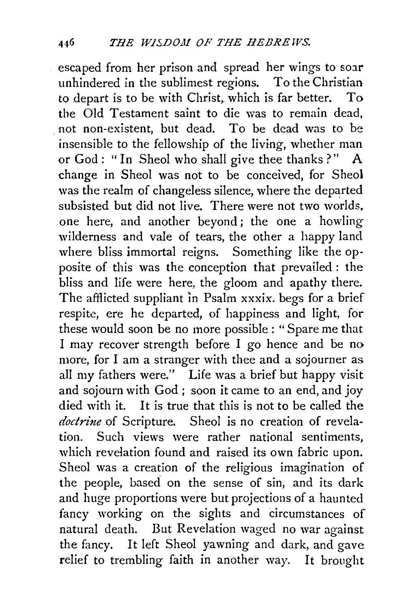escaped from her prison and spread her wings to soar unhindered in the sublimest regions. To the Christian to depart is to be with Christ, which is far better. To the Old Testament saint to die was to remain dead, . not non-existent, but dead. To be dead was to be insensible to the fellowship of the living, whether man or God: "In Sheol who shall give thee thanks?" A change in Sheol was not to be conceived, for Sheol was the realm of changeless silence, where the departed subsisted but did not live. There were not two worlds. one here, and another beyond ; the one a howling wilderness and vale of tears, the other a happy land where bliss immortal reigns. Something like the opposite of this was the conception that prevailed : the bliss and life were here, the gloom and apathy there. The afflicted suppliant in Psalm xxxix. begs for a brief respite, ere he departed, of happiness and light, for these would soon be no more possible : "Spare me that I may recover strength before I go hence and be no more, for I am a stranger with thee and a sojourner as all my fathers were." Life was a brief but happy visit and sojourn with God ; soon it came to an end, and joy died with it. It is true that this is not to be called the *doctrine* of Scripture. Sheol is no creation of revelation. Such views were rather national sentiments, which revelation found and raised its own fabric upon. Sheol was a creation of the religious imagination of the people, based on the sense of sin, and its dark and huge proportions were but projections of a haunted fancy working on the sights and circumstances of natural death. But Revelation waged no war against the fancy. It left Sheol yawning and dark, and gave relief to trembling faith in another way. It brought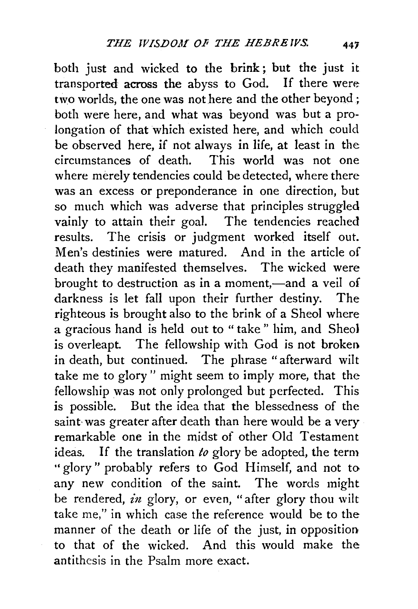both just and wicked to the brink; but the just it transported across the abyss to God. If there were two worlds, the one was not here and the other beyond ; both were here, and what was beyond was but a prolongation of that which existed here, and which could be observed here, if not always in life, at least in the circumstances of death. This world was not one where merely tendencies could be detected, where there was an excess or preponderance in one direction, but so much which was adverse that principles struggled vainly to attain their goal. The tendencies reached results. The crisis or judgment worked itself out. Men's destinies were matured. And in the article of death they manifested themselves. The wicked were brought to destruction as in a moment,—and a veil of darkness is let fall upon their further destiny. The righteous is brought also to the brink of a Sheol where a gracious hand is held out to " take " him, and Sheo1 is overleapt. The fellowship with God is not broken in death, but continued. The phrase "afterward wilt take me to glory " might seem to imply more, that the fellowship was not only prolonged but perfected. This is possible. But the idea that the blessedness of the saint was greater after death than here would be a very remarkable one in the midst of other Old Testament ideas. If the translation *to* glory be adopted, the term •• glory" probably refers to God Himself, and not to any new condition of the saint. The words might be rendered, *in* glory, or even, "after glory thou wilt take me," in which case the reference would be to the manner of the death or life of the just, in opposition to that of the wicked. And this would make the antithesis in the Psalm more exact.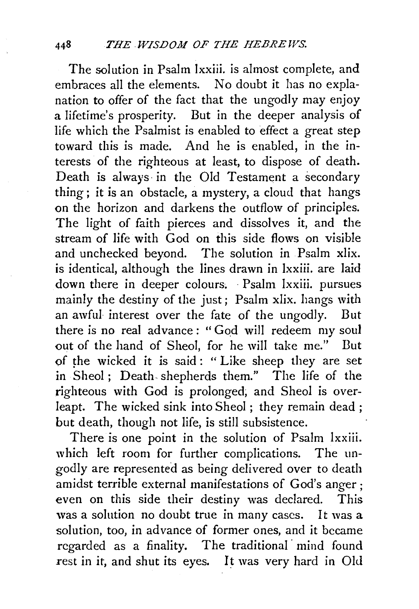The solution in Psalm lxxiii. is almost complete, and embraces all the elements. No doubt it has no explanation to offer of the fact that the ungodly may enjoy a lifetime's prosperity. But in the deeper analysis of life which the Psalmist is enabled to effect a great step toward this is made. And he is enabled, in the interests of the righteous at least, to dispose of death. Death is always· in the Old Testament a secondary thing ; it is an obstacle, a mystery, a cloud that hangs on the horizon and darkens the outflow of principles. The light of faith pierces and dissolves it, and the stream of life with God on this side flows on visible and unchecked beyond. The solution in Psalm xlix. is identical, although the lines drawn in lxxiii. are laid down there in deeper colours. Psalm lxxiii. pursues mainly the destiny of the just; Psalm xlix. hangs with an awful interest over the fate of the ungodly. But there is no real advance: "God will redeem my soul out of the hand of Sheol, for he will take me." But of the wicked it is said: " Like sheep they are set in Sheol ; Death- shepherds them." The life of the righteous with God is prolonged; and Sheol is overleapt. The wicked sink into Sheol ; they remain dead ; but death, though not life, is still subsistence.

There is one point in the solution of Psalm lxxiii. which left room for further complications. The ungodly are represented as being delivered over to death amidst terrible external manifestations of God's anger; even on this side their destiny was declared. This was a solution no doubt true in many cases. It was a solution, too, in advance of former ones, and it became regarded as a finality. The traditional mind found rest in it, and shut its eyes. It was very hard in Old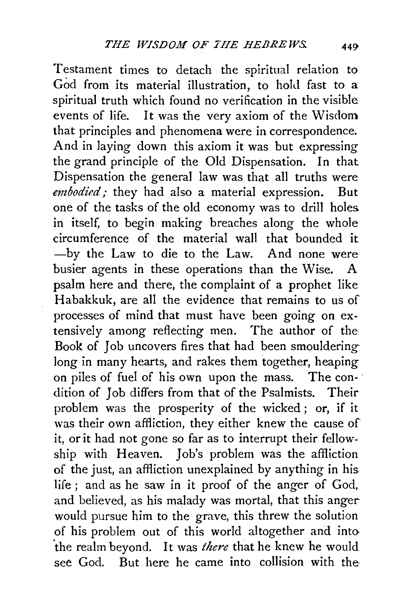Testament times to detach the spiritual relation to God from its material illustration, to hold fast to a spiritual truth which found no verification in the visible events of life. It was the very axiom of the Wisdom that principles and phenomena were in correspondence. And in laying down this axiom it was but expressing the grand principle of the Old Dispensation. In that Dispensation the general law was that all truths were *embodied;* they had also a material expression. But one of the tasks of the old economy was to drill holes in itself, to begin making breaches along the whole circumference of the material wall that bounded it -by the Law to die to the Law. And none were busier agents in these operations than the Wise. A psalm here and there, the complaint of a prophet like Habakkuk, are all the evidence that remains to us of processes of mind that must have been going on extensively among reflecting men. The author of the Book of Job uncovers fires that had been smoulderinglong in many hearts, and rakes them together, heaping on piles of fuel of his own upon the mass. The con- · dition of Job differs from that of the Psalmists. Their problem was the prosperity of the wicked ; or, if it was their own affliction, they either knew the cause of it, or it had not gone so far as to interrupt their fellowship with Heaven. Job's problem was the affliction of the just, an affliction unexplained by anything in his life ; and as he saw in it proof of the anger of God, and believed, as his malady was mortal, that this anger would pursue him to the grave, this threw the solution of his problem out of this world altogether and into- 'the realm beyond. It was *there* that he knew he would see God. But here he came into collision with the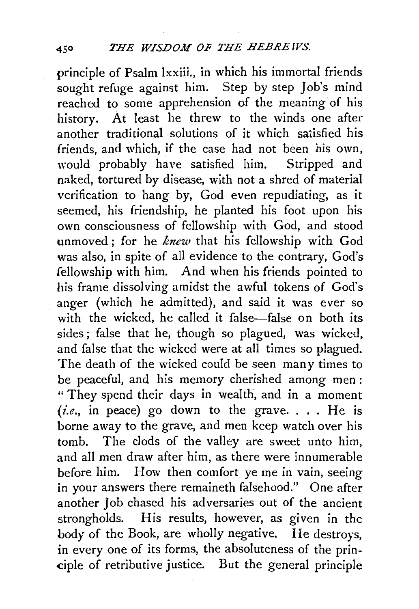principle of Psalm Ixxiii., in which his immortal friends sought refuge against him. Step by step Job's mind reached to some apprehension of the meaning of his history. At least he threw to the winds one after another traditional solutions of it which satisfied his friends, and which, if the case had not been his own, would probably have satisfied him. Stripped and naked, tortured by disease, with not a shred of material verification to hang by, God even repudiating, as it seemed, his friendship, he planted his foot upon his own consciousness of fellowship with God, and stood unmoved; for he *knew* that his fellowship with God was also, in spite of all evidence to the contrary, God's fellowship with him. And when his friends pointed to his frame dissolving amidst the awful tokens of God's .anger (which he admitted), and said it was ever so with the wicked, he called it false-false on both its sides ; false that he, though so plagued, was wicked, .and false that the wicked were at all times so plagued. The death of the wicked could be seen many times to be peaceful, and his memory cherished among men : " They spend their days in wealth, and in a moment  $(i.e., in peace)$  go down to the grave.... He is borne away to the grave, and men keep watch over his tomb. The clods of the valley are sweet unto him, and all men draw after him, as there were innumerable before him. How then comfort ye me in vain, seeing in your answers there remaineth falsehood." One after another Job chased his adversaries out of the ancient strongholds. His results, however, as given in the body of the Book, are wholly negative. He destroys, in every one of its forms, the absoluteness of the prin- -ciple of retributive justice. But the general principle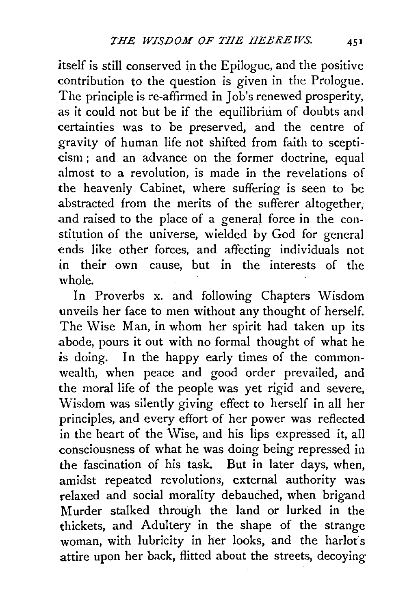itself is still conserved in the Epilogue, and the positive contribution to the question is given in the Prologue. The principle is re-affirmed in Job's renewed prosperity, as it could not but be if the equilibrium of doubts and certainties was to be preserved, and the centre of gravity of human life not shifted from faith to scepticism ; and an advance on the former doctrine, equal almost to a revolution, is made in the revelations of the heavenly Cabinet, where suffering is seen to be abstracted from the merits of the sufferer altogether, and raised to the place of a general force in the constitution of the universe, wielded by God for general ends like other forces, and affecting individuals not in their own cause, but in the interests of the whole.

In Proverbs x. and following Chapters Wisdom unveils her face to men without any thought of herself. The Wise Man, in whom her spirit had taken up its abode, pours it out with no formal thought of what he is doing. In the happy early times of the commonwealth, when peace and good order prevailed, and the moral life of the people was yet rigid and severe, Wisdom was silently giving effect to herself in all her principles, and every effort of her power was reflected in the heart of the Wise, and his lips expressed it, all consciousness of what he was doing being repressed in the fascination of his task. But in later days, when, amidst repeated revolutions, external authority was relaxed and social morality debauched, when brigand Murder stalked through the land or lurked in the thickets, and Adultery in the shape of the strange woman, with lubricity in her looks, and the harlot's attire upon her back, flitted about the streets, decoying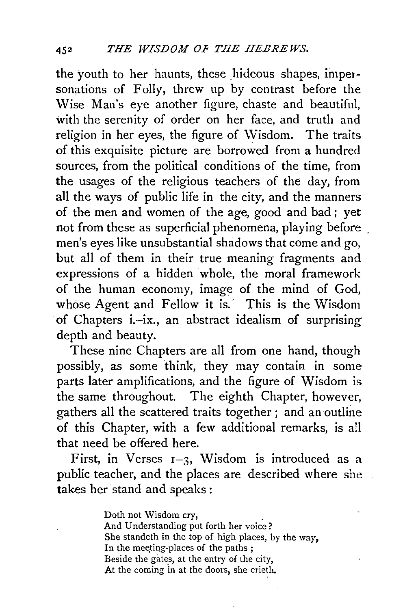the youth to her haunts, these hideous shapes, impersonations of Folly, threw up by contrast before the Wise Man's eye another figure, chaste and beautiful, with the serenity of order on her face, and truth and religion in her eyes, the figure of Wisdom. The traits of this exquisite picture are borrowed from a hundred sources, from the political conditions of the time, from the usages of the religious teachers of the day, from all the ways of public life in the city, and the manners of the men and women of the age, good and bad ; yet not from these as superficial phenomena, playing before men's eyes like unsubstantial shadows that come and go, but all of them in their true meaning fragments and expressions of a hidden whole, the moral framework of the human economy, image of the mind of God, whose Agent and Fellow it is. This is the Wisdom of Chapters i.-ix., an abstract idealism of surprising depth and beauty.

These nine Chapters are all from one hand, though possibly, as some think, they may contain in some parts later amplifications, and the figure of Wisdom is the same throughout. The eighth Chapter, however, gathers all the scattered traits together ; and an outline of this Chapter, with a few additional remarks, is all that need be offered here.

First, in Verses  $I=3$ , Wisdom is introduced as a public teacher, and the places are described where she takes her stand and speaks :

> Doth not Wisdom cry, And Understanding put forth her voice ? She standeth in the top of high places, by the way, In the meeting-places of the paths ; Beside the gates, at the entry of the city, At the coming in at the doors, she crieth.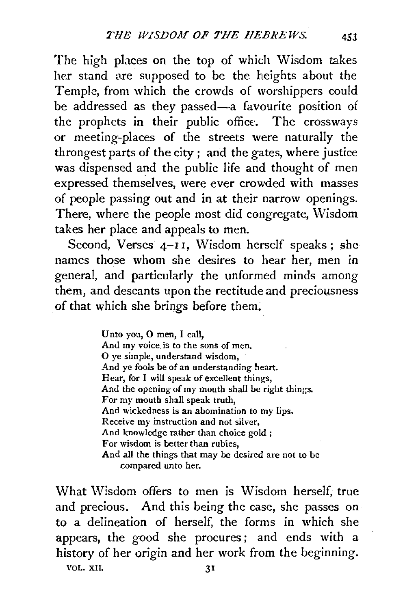The high places on the top of which Wisdom takes her stand are supposed to be the heights about the Temple, from which the crowds of worshippers could be addressed as they passed-a favourite position of the prophets in their public office. The crossways or meeting-places of the streets were naturally the throngest parts of the city; and the gates, where justice was dispensed and the public life and thought of men expressed themselves, were ever crowded with masses of people passing out and in at their narrow openings. There, where the people most did congregate, Wisdom takes her place and appeals to men.

Second, Verses  $4-II$ , Wisdom herself speaks; she names those whom she desires to hear her, men in general, and particularly the unformed minds among them, and descants upon the rectitude and preciousness . of that which she brings before them.

> Unto you, 0 men, I call, And my voice is to the sons of men. 0 ye simple, understand wisdom, And ye fools be of an understanding heart. Hear, for I will speak of excellent things, And the opening of my mouth shall be right things. For my mouth shall speak truth, And wickedness is an abomination to my lips. Receive my instruction and not silver, And knowledge rather than choice gold ; For wisdom is better than rubies, And all the things that may be desired are not to be compared unto her.

What Wisdom offers to men is Wisdom herself, true and precious. And this being the case, she passes on to a delineation of herself, the forms in which she appears, the good she procures; and ends with a history of her origin and her work from the beginning. VOL. XII. 31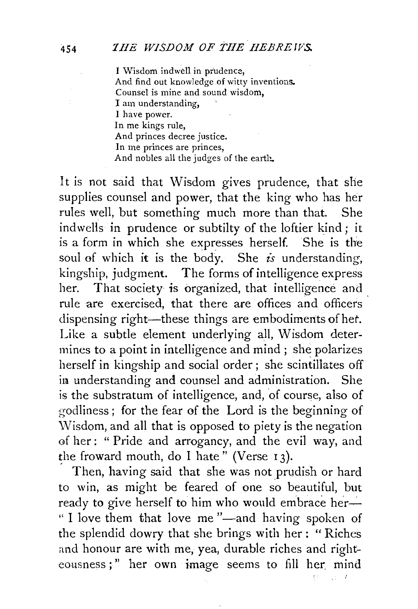I Wisdom indwell in prudence, And find out knowledge of witty inventions. Counsel is mine and sound wisdom, I am understanding. I have power. In me kings rule, And princes decree justice. In me princes are princes, And nobles all the judges of the earth.

It is not said that Wisdom gives prudence, that she supplies counsel and power, that the king who has her rules well, but something much more than that. She indwells in prudence or subtilty of the loftier kind; it is a form in which she expresses herself. She is the soul of which it is the body. She *is* understanding, kingship, judgment. The forms of intelligence express her. That society *is* organized, that intelligence and rule are exercised, that there are offices and officers dispensing right—these things are embodiments of het. Like a subtle element underlying all, Wisdom determines to a point in intelligence and mind ; she polarizes herself in kingship and social order ; she scintillates off in understanding and counsel and administration. She is the substratum of intelligence, and, of course, also of godliness ; for the fear of the Lord is the beginning of \Visdom, and all that is opposed to piety is the negation of her: " Pride and arrogancy, and the evil way, and the froward mouth, do I hate" (Verse 13).

Then, having said that she was not prudish or hard to win, as might be feared of one so beautiful, but ready to give herself to him who would embrace her-" I love them that love me"—and having spoken of the splendid dowry that she brings with her : " Riches and honour are with me, yea, durable riches and righteousness;" her own image seems to fill her mind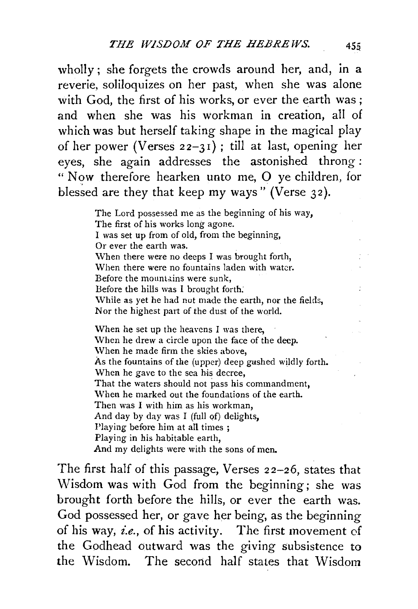wholly; she forgets the crowds around her, and, in a reverie, soliloquizes on her past, when she was alone with God, the first of his works, or ever the earth was; and when she was his workman in creation, all of which was but herself taking shape in the magical play of her power (Verses  $22-31$ ); till at last, opening her eyes, she again addresses the astonished throng : " Now therefore hearken unto me, 0 ye children, for blessed are they that keep my ways" (Verse  $32$ ).

> The Lord possessed me as the beginning of his way, The first of his works long agone. I was set up from of old, from the beginning, Or ever the earth was. When there were no deeps I was brought forth, When there were no fountains laden with water. Before the mountains were sunk, Before the hills was I brought forth: While as yet he had not made the earth, nor the fields, Nor the highest part of the dust of the world.

> \Vhen he set up the heavens I was there, When he drew a circle upon the face of the deep. \Vhen he made firm the skies above, As the fountains of the (upper) deep gushed wildly forth. When he gave to the sea his decree, That the waters should not pass his commandment, When he marked out the foundations of the earth. Then was I with him as his workman, And day by day was I (full of) delights, Playing before him at all times; Playing in his habitable earth, And my delights were with the sons of men.

The first half of this passage, Verses 22-26, states that Wisdom was with God from the beginning; she was brought forth before the hills, or ever the earth was. God possessed her, or gave her being, as the beginning of his way, *£.e.,* of his activity. The first movement of the Godhead outward was the giving subsistence to the Wisdom. The second half stales that Wisdom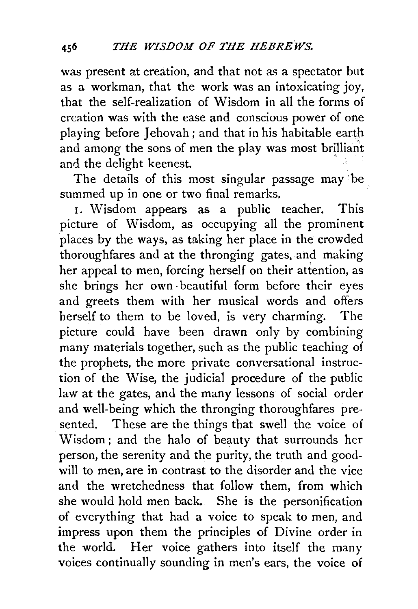was present at creation, and that not as a spectator but as a workman, that the work was an intoxicating joy, that the self-realization of Wisdom in all the forms of creation was with the ease and conscious power of one playing before Jehovah; and that in his habitable earth and among the sons of men the play was most brilliant and the delight keenest.

The details of this most singular passage may be summed up in one or two final remarks.

I. Wisdom appears as a public teacher. This picture of Wisdom, as occupying all the prominent places by the ways, as taking her place in the crowded thoroughfares and at the thronging gates, and making her appeal to men, forcing herself on their attention, as she brings her own ·beautiful form before their eyes and greets them with her musical words and offers herself to them to be loved, is very charming. The picture could have been drawn only by combining many materials together, such as the public teaching of the prophets, the more private conversational instruction of the Wise, the judicial procedure of the public law at the gates, and the many lessons of social order and well-being which the thronging thoroughfares presented. These are the things that swell the voice of Wisdom; and the halo of beauty that surrounds her person, the serenity and the purity, the truth and goodwill to men, are in contrast to the disorder and the vice and the wretchedness that follow them, from which she would hold men back. She is the personification of everything that had a voice to speak to men, and impress upon them the principles of Divine order in the world. Her voice gathers into itself the many voices continually sounding in men's ears, the voice of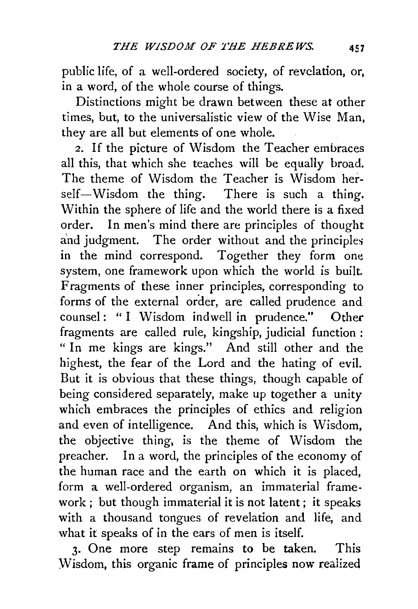public life, of a well-ordered society, of revelation, or, in a word, of the whole course of things.

Distinctions might be drawn between these at other times, but, to the universalistic view of the Wise Man, they are all but elements of one whole.

2. If the picture of Wisdom the Teacher embraces all this, that which she teaches will be equally broad. The theme of Wisdom the Teacher is Wisdom herself-Wisdom the thing. There is such a thing. Within the sphere of life and the world there is a fixed order. In men's mind there are principles of thought and judgment. The order without and the principles in the mind correspond. Together they form one system, one framework upon which the world is built Fragments of these inner principles, corresponding to forms of the external order, are called prudence and counsel: " I Wisdom indwell in prudence." Other fragments are called rule, kingship, judicial function : " In me kings are kings." And still other and the highest, the fear of the Lord and the hating of evil. But it is obvious that these things, though capable of being considered separately, make up together a unity which embraces the principles of ethics and religion and even of intelligence. And this, which is Wisdom, the objective thing, is the theme of Wisdom the preacher. In a word, the principles of the economy of the human race and the earth on which it is placed, form a well-ordered organism, an immaterial framework ; but though immaterial it is not latent; it speaks with a thousand tongues of revelation and life, and what it speaks of in the ears of men is itself.

3· One more step remains to be taken. This Wisdom, this organic frame of principles now realized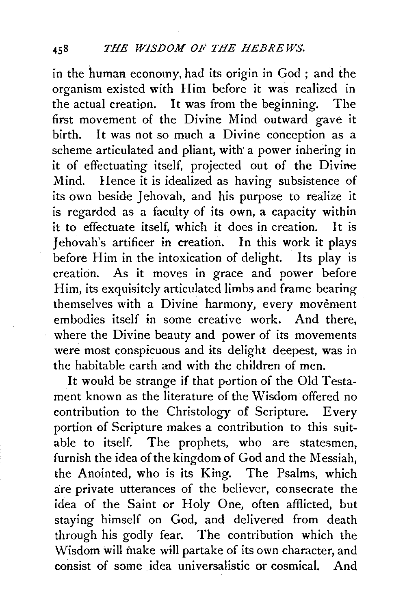in the human economy. had its origin in God ; and the organism existed with Him before it was realized in the actual creation. It was from the beginning. The first movement of the Divine Mind outward gave it birth. It was not so much a Divine conception as a scheme articulated and pliant, with' a power inhering in it of effectuating itself, projected out of the Divine Mind. Hence it is idealized as having subsistence of its own beside Jehovah, and his purpose to realize it is regarded as a faculty of its own, a capacity within it to effectuate itself, which it does in creation. It is Jehovah's artificer in creation. In this work it plays before Him in the intoxication of delight. Its play is creation. As it moves in grace and power before Him, its exquisitely articulated limbs and frame bearing themselves with a Divine harmony, every movement embodies itself in some creative work. And there, where the Divine beauty and power of its movements were most conspicuous and its delight deepest, was in the habitable earth and with the children of men.

It would be strange if that purtion of the Old Testament known as the literature of the Wisdom offered no contribution to the Christology of Scripture. Every portion of Scripture makes a contribution to this suitable to itself. The prophets, who are statesmen, furnish the idea of the kingdom of God and the Messiah, the Anointed, who is its King. The Psalms, which are private utterances of the believer, consecrate the idea of the Saint or Holy One, often afflicted, but staying himself on God, and delivered from death through his godly fear. The contribution which the Wisdom will make will partake of its own character, and consist of some idea universalistic or cosmical. And